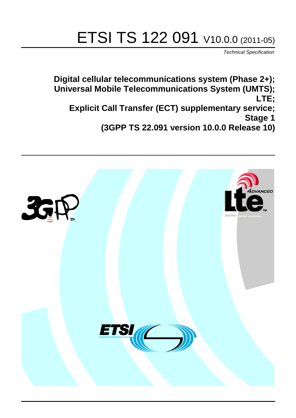# ETSI TS 122 091 V10.0.0 (2011-05)

*Technical Specification*

**Digital cellular telecommunications system (Phase 2+); Universal Mobile Telecommunications System (UMTS); LTE; Explicit Call Transfer (ECT) supplementary service; Stage 1 (3GPP TS 22.091 version 10.0.0 Release 10)**

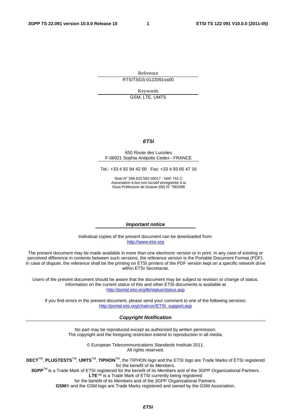Reference RTS/TSGS-0122091va00

> Keywords GSM, LTE, UMTS

> > *ETSI*

#### 650 Route des Lucioles F-06921 Sophia Antipolis Cedex - FRANCE

Tel.: +33 4 92 94 42 00 Fax: +33 4 93 65 47 16

Siret N° 348 623 562 00017 - NAF 742 C Association à but non lucratif enregistrée à la Sous-Préfecture de Grasse (06) N° 7803/88

#### *Important notice*

Individual copies of the present document can be downloaded from: [http://www.etsi.or](http://www.etsi.org/)g

The present document may be made available in more than one electronic version or in print. In any case of existing or perceived difference in contents between such versions, the reference version is the Portable Document Format (PDF). In case of dispute, the reference shall be the printing on ETSI printers of the PDF version kept on a specific network drive within ETSI Secretariat.

Users of the present document should be aware that the document may be subject to revision or change of status. Information on the current status of this and other ETSI documents is available at <http://portal.etsi.org/tb/status/status.asp>

If you find errors in the present document, please send your comment to one of the following services: [http://portal.etsi.org/chaircor/ETSI\\_support.asp](http://portal.etsi.org/chaircor/ETSI_support.asp)

#### *Copyright Notification*

No part may be reproduced except as authorized by written permission. The copyright and the foregoing restriction extend to reproduction in all media.

> © European Telecommunications Standards Institute 2011. All rights reserved.

**DECT**TM, **PLUGTESTS**TM, **UMTS**TM, **TIPHON**TM, the TIPHON logo and the ETSI logo are Trade Marks of ETSI registered for the benefit of its Members.

**3GPP**TM is a Trade Mark of ETSI registered for the benefit of its Members and of the 3GPP Organizational Partners. **LTE**™ is a Trade Mark of ETSI currently being registered

for the benefit of its Members and of the 3GPP Organizational Partners.

**GSM**® and the GSM logo are Trade Marks registered and owned by the GSM Association.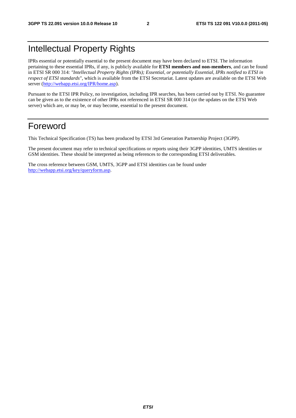# Intellectual Property Rights

IPRs essential or potentially essential to the present document may have been declared to ETSI. The information pertaining to these essential IPRs, if any, is publicly available for **ETSI members and non-members**, and can be found in ETSI SR 000 314: *"Intellectual Property Rights (IPRs); Essential, or potentially Essential, IPRs notified to ETSI in respect of ETSI standards"*, which is available from the ETSI Secretariat. Latest updates are available on the ETSI Web server (h[ttp://webapp.etsi.org/IPR/home.asp\).](http://webapp.etsi.org/IPR/home.asp)

Pursuant to the ETSI IPR Policy, no investigation, including IPR searches, has been carried out by ETSI. No guarantee can be given as to the existence of other IPRs not referenced in ETSI SR 000 314 (or the updates on the ETSI Web server) which are, or may be, or may become, essential to the present document.

### Foreword

This Technical Specification (TS) has been produced by ETSI 3rd Generation Partnership Project (3GPP).

The present document may refer to technical specifications or reports using their 3GPP identities, UMTS identities or GSM identities. These should be interpreted as being references to the corresponding ETSI deliverables.

The cross reference between GSM, UMTS, 3GPP and ETSI identities can be found under [http://webapp.etsi.org/key/queryform.asp.](http://webapp.etsi.org/key/queryform.asp)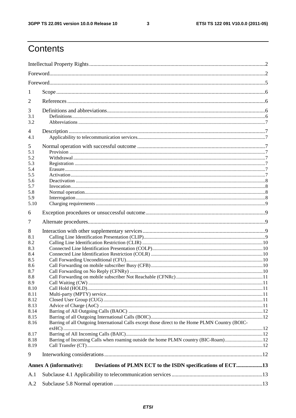$\mathbf{3}$ 

# Contents

| 1            |                                                                                                 |  |  |  |  |  |  |  |
|--------------|-------------------------------------------------------------------------------------------------|--|--|--|--|--|--|--|
| 2            |                                                                                                 |  |  |  |  |  |  |  |
| 3            |                                                                                                 |  |  |  |  |  |  |  |
| 3.1          |                                                                                                 |  |  |  |  |  |  |  |
| 3.2          |                                                                                                 |  |  |  |  |  |  |  |
| 4<br>4.1     |                                                                                                 |  |  |  |  |  |  |  |
|              |                                                                                                 |  |  |  |  |  |  |  |
| 5            |                                                                                                 |  |  |  |  |  |  |  |
| 5.1<br>5.2   |                                                                                                 |  |  |  |  |  |  |  |
| 5.3          |                                                                                                 |  |  |  |  |  |  |  |
| 5.4          |                                                                                                 |  |  |  |  |  |  |  |
| 5.5          |                                                                                                 |  |  |  |  |  |  |  |
| 5.6          |                                                                                                 |  |  |  |  |  |  |  |
| 5.7          |                                                                                                 |  |  |  |  |  |  |  |
| 5.8          |                                                                                                 |  |  |  |  |  |  |  |
| 5.9<br>5.10  |                                                                                                 |  |  |  |  |  |  |  |
|              |                                                                                                 |  |  |  |  |  |  |  |
| 6            |                                                                                                 |  |  |  |  |  |  |  |
| 7            |                                                                                                 |  |  |  |  |  |  |  |
| 8            |                                                                                                 |  |  |  |  |  |  |  |
| 8.1          |                                                                                                 |  |  |  |  |  |  |  |
| 8.2          |                                                                                                 |  |  |  |  |  |  |  |
| 8.3          |                                                                                                 |  |  |  |  |  |  |  |
| 8.4          |                                                                                                 |  |  |  |  |  |  |  |
| 8.5<br>8.6   |                                                                                                 |  |  |  |  |  |  |  |
| 8.7          |                                                                                                 |  |  |  |  |  |  |  |
| 8.8          |                                                                                                 |  |  |  |  |  |  |  |
| 8.9          |                                                                                                 |  |  |  |  |  |  |  |
| 8.10         |                                                                                                 |  |  |  |  |  |  |  |
| 8.11         |                                                                                                 |  |  |  |  |  |  |  |
| 8.12         |                                                                                                 |  |  |  |  |  |  |  |
| 8.13         |                                                                                                 |  |  |  |  |  |  |  |
| 8.14<br>8.15 |                                                                                                 |  |  |  |  |  |  |  |
| 8.16         | Barring of all Outgoing International Calls except those direct to the Home PLMN Country (BOIC- |  |  |  |  |  |  |  |
|              |                                                                                                 |  |  |  |  |  |  |  |
| 8.17         |                                                                                                 |  |  |  |  |  |  |  |
| 8.18         | Barring of Incoming Calls when roaming outside the home PLMN country (BIC-Roam)12               |  |  |  |  |  |  |  |
| 8.19         |                                                                                                 |  |  |  |  |  |  |  |
| 9            |                                                                                                 |  |  |  |  |  |  |  |
|              | Deviations of PLMN ECT to the ISDN specifications of ECT13<br><b>Annex A (informative):</b>     |  |  |  |  |  |  |  |
| A.1          |                                                                                                 |  |  |  |  |  |  |  |
| A.2          |                                                                                                 |  |  |  |  |  |  |  |
|              |                                                                                                 |  |  |  |  |  |  |  |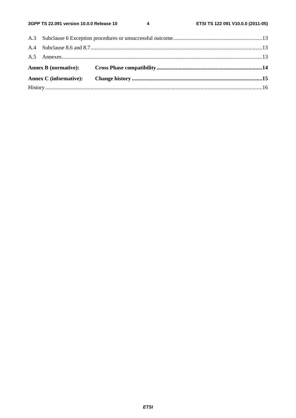$\overline{\mathbf{4}}$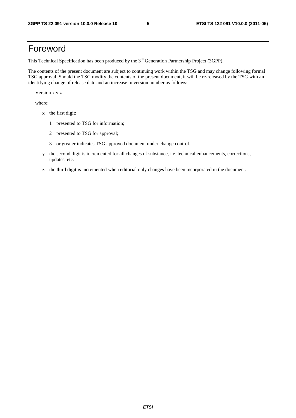# Foreword

This Technical Specification has been produced by the 3<sup>rd</sup> Generation Partnership Project (3GPP).

The contents of the present document are subject to continuing work within the TSG and may change following formal TSG approval. Should the TSG modify the contents of the present document, it will be re-released by the TSG with an identifying change of release date and an increase in version number as follows:

Version x.y.z

where:

- x the first digit:
	- 1 presented to TSG for information;
	- 2 presented to TSG for approval;
	- 3 or greater indicates TSG approved document under change control.
- y the second digit is incremented for all changes of substance, i.e. technical enhancements, corrections, updates, etc.
- z the third digit is incremented when editorial only changes have been incorporated in the document.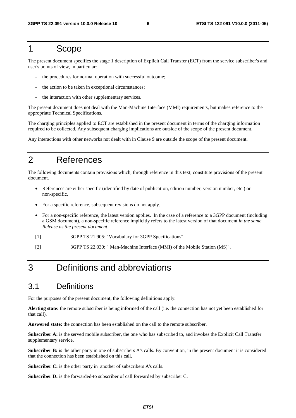#### 1 Scope

The present document specifies the stage 1 description of Explicit Call Transfer (ECT) from the service subscriber's and user's points of view, in particular:

- the procedures for normal operation with successful outcome;
- the action to be taken in exceptional circumstances;
- the interaction with other supplementary services.

The present document does not deal with the Man-Machine Interface (MMI) requirements, but makes reference to the appropriate Technical Specifications.

The charging principles applied to ECT are established in the present document in terms of the charging information required to be collected. Any subsequent charging implications are outside of the scope of the present document.

Any interactions with other networks not dealt with in Clause 9 are outside the scope of the present document.

# 2 References

The following documents contain provisions which, through reference in this text, constitute provisions of the present document.

- References are either specific (identified by date of publication, edition number, version number, etc.) or non-specific.
- For a specific reference, subsequent revisions do not apply.
- For a non-specific reference, the latest version applies. In the case of a reference to a 3GPP document (including a GSM document), a non-specific reference implicitly refers to the latest version of that document *in the same Release as the present document*.
- [1] 3GPP TS 21.905: "Vocabulary for 3GPP Specifications".
- [2] 3GPP TS 22.030: " Man-Machine Interface (MMI) of the Mobile Station (MS)".

# 3 Definitions and abbreviations

#### 3.1 Definitions

For the purposes of the present document, the following definitions apply.

**Alerting state:** the remote subscriber is being informed of the call (i.e. the connection has not yet been established for that call).

**Answered state:** the connection has been established on the call to the remote subscriber.

**Subscriber A:** is the served mobile subscriber, the one who has subscribed to, and invokes the Explicit Call Transfer supplementary service.

**Subscriber B:** is the other party in one of subscribers A's calls. By convention, in the present document it is considered that the connection has been established on this call.

**Subscriber C:** is the other party in another of subscribers A's calls.

Subscriber D: is the forwarded-to subscriber of call forwarded by subscriber C.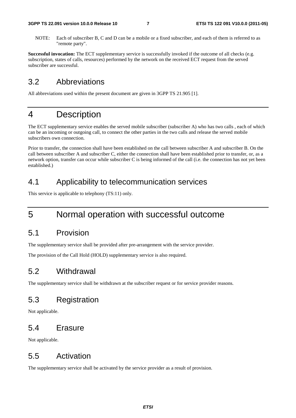NOTE: Each of subscriber B, C and D can be a mobile or a fixed subscriber, and each of them is referred to as "remote party".

**Successful invocation:** The ECT supplementary service is successfully invoked if the outcome of all checks (e.g. subscription, states of calls, resources) performed by the network on the received ECT request from the served subscriber are successful.

#### 3.2 Abbreviations

All abbreviations used within the present document are given in 3GPP TS 21.905 [1].

#### 4 Description

The ECT supplementary service enables the served mobile subscriber (subscriber A) who has two calls , each of which can be an incoming or outgoing call, to connect the other parties in the two calls and release the served mobile subscribers own connection.

Prior to transfer, the connection shall have been established on the call between subscriber A and subscriber B. On the call between subscriber A and subscriber C, either the connection shall have been established prior to transfer, or, as a network option, transfer can occur while subscriber C is being informed of the call (i.e. the connection has not yet been established.)

#### 4.1 Applicability to telecommunication services

This service is applicable to telephony (TS:11) only.

### 5 Normal operation with successful outcome

#### 5.1 Provision

The supplementary service shall be provided after pre-arrangement with the service provider.

The provision of the Call Hold (HOLD) supplementary service is also required.

#### 5.2 Withdrawal

The supplementary service shall be withdrawn at the subscriber request or for service provider reasons.

#### 5.3 Registration

Not applicable.

#### 5.4 Erasure

Not applicable.

#### 5.5 Activation

The supplementary service shall be activated by the service provider as a result of provision.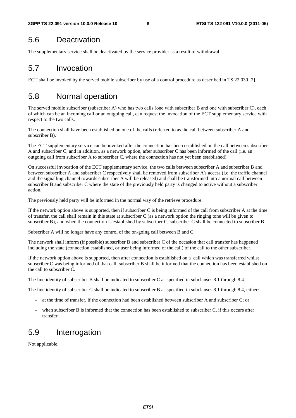### 5.6 Deactivation

The supplementary service shall be deactivated by the service provider as a result of withdrawal.

### 5.7 Invocation

ECT shall be invoked by the served mobile subscriber by use of a control procedure as described in TS 22.030 [2].

# 5.8 Normal operation

The served mobile subscriber (subscriber A) who has two calls (one with subscriber B and one with subscriber C), each of which can be an incoming call or an outgoing call, can request the invocation of the ECT supplementary service with respect to the two calls.

The connection shall have been established on one of the calls (referred to as the call between subscriber A and subscriber B).

The ECT supplementary service can be invoked after the connection has been established on the call between subscriber A and subscriber C, and in addition, as a network option, after subscriber C has been informed of the call (i.e. an outgoing call from subscriber A to subscriber C, where the connection has not yet been established).

On successful invocation of the ECT supplementary service, the two calls between subscriber A and subscriber B and between subscriber A and subscriber C respectively shall be removed from subscriber A's access (i.e. the traffic channel and the signalling channel towards subscriber A will be released) and shall be transformed into a normal call between subscriber B and subscriber C where the state of the previously held party is changed to active without a subscriber action.

The previously held party will be informed in the normal way of the retrieve procedure.

If the network option above is supported, then if subscriber C is being informed of the call from subscriber A at the time of transfer, the call shall remain in this state at subscriber C (as a network option the ringing tone will be given to subscriber B), and when the connection is established by subscriber C, subscriber C shall be connected to subscriber B.

Subscriber A will no longer have any control of the on-going call between B and C.

The network shall inform (if possible) subscriber B and subscriber C of the occasion that call transfer has happened including the state (connection established, or user being informed of the call) of the call to the other subscriber.

If the network option above is supported, then after connection is established on a call which was transferred whilst subscriber C was being informed of that call, subscriber B shall be informed that the connection has been established on the call to subscriber C.

The line identity of subscriber B shall be indicated to subscriber C as specified in subclauses 8.1 through 8.4.

The line identity of subscriber C shall be indicated to subscriber B as specified in subclauses 8.1 through 8.4, either:

- at the time of transfer, if the connection had been established between subscriber A and subscriber C; or
- when subscriber B is informed that the connection has been established to subscriber C, if this occurs after transfer.

#### 5.9 Interrogation

Not applicable.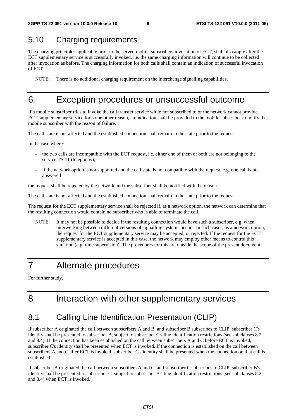#### 5.10 Charging requirements

The charging principles applicable prior to the served mobile subscribers invocation of ECT, shall also apply after the ECT supplementary service is successfully invoked, i.e. the same charging information will continue to be collected after invocation as before. The charging information for both calls shall contain an indication of successful invocation of ECT.

NOTE: There is no additional charging requirement on the interchange signalling capabilities.

#### 6 Exception procedures or unsuccessful outcome

If a mobile subscriber tries to invoke the call transfer service while not subscribed to or the network cannot provide ECT supplementary service for some other reason, an indication shall be provided to the mobile subscriber to notify the mobile subscriber with the reason of failure.

The call state is not affected and the established connection shall remain in the state prior to the request.

In the case where:

- the two calls are incompatible with the ECT request, i.e. either one of them or both are not belonging to the service TS:11 (telephony);
- if the network option is not supported and the call state is not compatible with the request, e.g. one call is not answered

the request shall be rejected by the network and the subscriber shall be notified with the reason.

The call state is not affected and the established connection shall remain in the state prior to the request.

The request for the ECT supplementary service shall be rejected if, as a network option, the network can determine that the resulting connection would contain no subscriber who is able to terminate the call.

NOTE: It may not be possible to decide if the resulting connection would have such a subscriber, e.g. when interworking between different versions of signalling systems occurs. In such cases, as a network option, the request for the ECT supplementary service may be accepted, or rejected. If the request for the ECT supplementary service is accepted in this case, the network may employ other means to control this situation (e.g. time supervision). The procedures for this are outside the scope of the present document.

# 7 Alternate procedures

For further study.

# 8 Interaction with other supplementary services

#### 8.1 Calling Line Identification Presentation (CLIP)

If subscriber A originated the call between subscribers A and B, and subscriber B subscribes to CLIP, subscriber C's identity shall be presented to subscriber B, subject to subscriber C's line identification restrictions (see subclauses 8.2 and 8.4). If the connection has been established on the call between subscribers A and C before ECT is invoked, subscriber C's identity shall be presented when ECT is invoked. If the connection is established on the call between subscribers A and C after ECT is invoked, subscriber C's identity shall be presented when the connection on that call is established.

If subscriber A originated the call between subscribers A and C, and subscriber C subscribes to CLIP, subscriber B's identity shall be presented to subscriber C, subject to subscriber B's line identification restrictions (see subclauses 8.2 and 8.4) when ECT is invoked.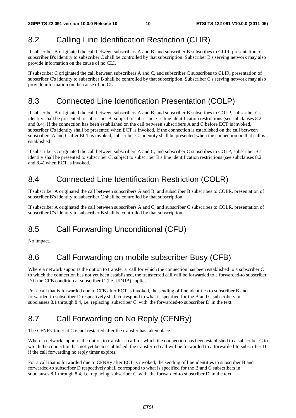#### 8.2 Calling Line Identification Restriction (CLIR)

If subscriber B originated the call between subscribers A and B, and subscriber B subscribes to CLIR, presentation of subscriber B's identity to subscriber C shall be controlled by that subscription. Subscriber B's serving network may also provide information on the cause of no CLI.

If subscriber C originated the call between subscribers A and C, and subscriber C subscribes to CLIR, presentation of subscriber C's identity to subscriber B shall be controlled by that subscription. Subscriber C's serving network may also provide information on the cause of no CLI.

#### 8.3 Connected Line Identification Presentation (COLP)

If subscriber B originated the call between subscribers A and B, and subscriber B subscribes to COLP, subscriber C's identity shall be presented to subscriber B, subject to subscriber C's line identification restrictions (see subclauses 8.2 and 8.4). If the connection has been established on the call between subscribers A and C before ECT is invoked, subscriber C's identity shall be presented when ECT is invoked. If the connection is established on the call between subscribers A and C after ECT is invoked, subscriber C's identity shall be presented when the connection on that call is established.

If subscriber C originated the call between subscribers A and C, and subscriber C subscribes to COLP, subscriber B's identity shall be presented to subscriber C, subject to subscriber B's line identification restrictions (see subclauses 8.2 and 8.4) when ECT is invoked.

#### 8.4 Connected Line Identification Restriction (COLR)

If subscriber A originated the call between subscribers A and B, and subscriber B subscribes to COLR, presentation of subscriber B's identity to subscriber C shall be controlled by that subscription.

If subscriber A originated the call between subscribers A and C, and subscriber C subscribes to COLR, presentation of subscriber C's identity to subscriber B shall be controlled by that subscription.

# 8.5 Call Forwarding Unconditional (CFU)

No impact.

# 8.6 Call Forwarding on mobile subscriber Busy (CFB)

Where a network supports the option to transfer a call for which the connection has been established to a subscriber C to which the connection has not yet been established, the transferred call will be forwarded to a forwarded-to subscriber D if the CFB condition at subscriber C (i.e. UDUB) applies.

For a call that is forwarded due to CFB after ECT is invoked, the sending of line identities to subscriber B and forwarded-to subscriber D respectively shall correspond to what is specified for the B and C subscribers in subclauses 8.1 through 8.4, i.e. replacing 'subscriber C' with 'the forwarded-to subscriber D' in the text.

# 8.7 Call Forwarding on No Reply (CFNRy)

The CFNRy timer at C is not restarted after the transfer has taken place.

Where a network supports the option to transfer a call for which the connection has been established to a subscriber C to which the connection has not yet been established, the transferred call will be forwarded to a forwarded-to subscriber D if the call forwarding no reply timer expires.

For a call that is forwarded due to CFNRy after ECT is invoked, the sending of line identities to subscriber B and forwarded-to subscriber D respectively shall correspond to what is specified for the B and C subscribers in subclauses 8.1 through 8.4, i.e. replacing 'subscriber C' with 'the forwarded-to subscriber D' in the text.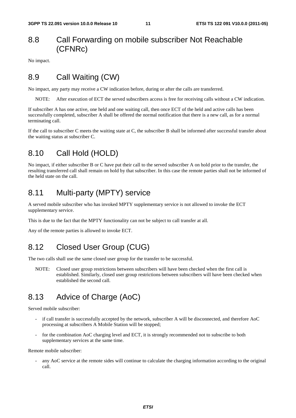#### 8.8 Call Forwarding on mobile subscriber Not Reachable (CFNRc)

No impact.

#### 8.9 Call Waiting (CW)

No impact, any party may receive a CW indication before, during or after the calls are transferred.

NOTE: After execution of ECT the served subscribers access is free for receiving calls without a CW indication.

If subscriber A has one active, one held and one waiting call, then once ECT of the held and active calls has been successfully completed, subscriber A shall be offered the normal notification that there is a new call, as for a normal terminating call.

If the call to subscriber C meets the waiting state at C, the subscriber B shall be informed after successful transfer about the waiting status at subscriber C.

#### 8.10 Call Hold (HOLD)

No impact, if either subscriber B or C have put their call to the served subscriber A on hold prior to the transfer, the resulting transferred call shall remain on hold by that subscriber. In this case the remote parties shall not be informed of the held state on the call.

#### 8.11 Multi-party (MPTY) service

A served mobile subscriber who has invoked MPTY supplementary service is not allowed to invoke the ECT supplementary service.

This is due to the fact that the MPTY functionality can not be subject to call transfer at all.

Any of the remote parties is allowed to invoke ECT.

#### 8.12 Closed User Group (CUG)

The two calls shall use the same closed user group for the transfer to be successful.

NOTE: Closed user group restrictions between subscribers will have been checked when the first call is established. Similarly, closed user group restrictions between subscribers will have been checked when established the second call.

### 8.13 Advice of Charge (AoC)

Served mobile subscriber:

- if call transfer is successfully accepted by the network, subscriber A will be disconnected, and therefore AoC processing at subscribers A Mobile Station will be stopped;
- for the combination AoC charging level and ECT, it is strongly recommended not to subscribe to both supplementary services at the same time.

Remote mobile subscriber:

any AoC service at the remote sides will continue to calculate the charging information according to the original call.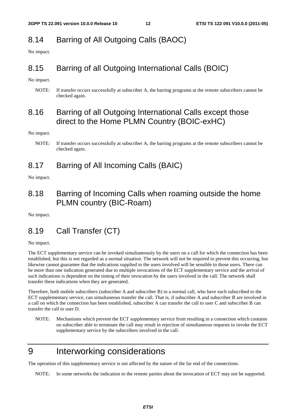# 8.14 Barring of All Outgoing Calls (BAOC)

No impact.

#### 8.15 Barring of all Outgoing International Calls (BOIC)

No impact.

NOTE: If transfer occurs successfully at subscriber A, the barring programs at the remote subscribers cannot be checked again.

#### 8.16 Barring of all Outgoing International Calls except those direct to the Home PLMN Country (BOIC-exHC)

No impact.

#### 8.17 Barring of All Incoming Calls (BAIC)

No impact.

#### 8.18 Barring of Incoming Calls when roaming outside the home PLMN country (BIC-Roam)

No impact.

### 8.19 Call Transfer (CT)

No impact.

The ECT supplementary service can be invoked simultaneously by the users on a call for which the connection has been established, but this is not regarded as a normal situation. The network will not be required to prevent this occurring, but likewise cannot guarantee that the indications supplied to the users involved will be sensible to those users. There can be more than one indication generated due to multiple invocations of the ECT supplementary service and the arrival of such indications is dependent on the timing of their invocation by the users involved in the call. The network shall transfer these indications when they are generated.

Therefore, both mobile subscribers (subscriber A and subscriber B) in a normal call, who have each subscribed to the ECT supplementary service, can simultaneous transfer the call. That is, if subscriber A and subscriber B are involved in a call on which the connection has been established, subscriber A can transfer the call to user C and subscriber B can transfer the call to user D.

NOTE: Mechanisms which prevent the ECT supplementary service from resulting in a connection which contains no subscriber able to terminate the call may result in rejection of simultaneous requests to invoke the ECT supplementary service by the subscribers involved in the call.

# 9 Interworking considerations

The operation of this supplementary service is not affected by the nature of the far end of the connections.

NOTE: In some networks the indication to the remote parties about the invocation of ECT may not be supported.

NOTE: If transfer occurs successfully at subscriber A, the barring programs at the remote subscribers cannot be checked again.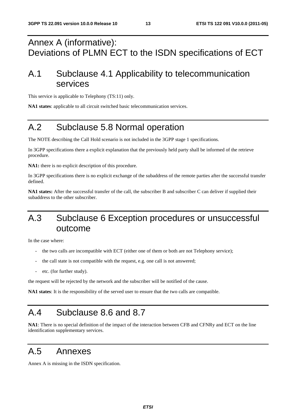# Annex A (informative): Deviations of PLMN ECT to the ISDN specifications of ECT

# A.1 Subclause 4.1 Applicability to telecommunication services

This service is applicable to Telephony (TS:11) only.

**NA1 states**: applicable to all circuit switched basic telecommunication services.

# A.2 Subclause 5.8 Normal operation

The NOTE describing the Call Hold scenario is not included in the 3GPP stage 1 specifications.

In 3GPP specifications there a explicit explanation that the previously held party shall be informed of the retrieve procedure.

**NA1:** there is no explicit description of this procedure.

In 3GPP specifications there is no explicit exchange of the subaddress of the remote parties after the successful transfer defined.

**NA1 states:** After the successful transfer of the call, the subscriber B and subscriber C can deliver if supplied their subaddress to the other subscriber.

# A.3 Subclause 6 Exception procedures or unsuccessful outcome

In the case where:

- the two calls are incompatible with ECT (either one of them or both are not Telephony service);
- the call state is not compatible with the request, e.g. one call is not answered;
- etc. (for further study).

the request will be rejected by the network and the subscriber will be notified of the cause.

**NA1 states**: It is the responsibility of the served user to ensure that the two calls are compatible.

# A.4 Subclause 8.6 and 8.7

**NA1**: There is no special definition of the impact of the interaction between CFB and CFNRy and ECT on the line identification supplementary services.

### A.5 Annexes

Annex A is missing in the ISDN specification.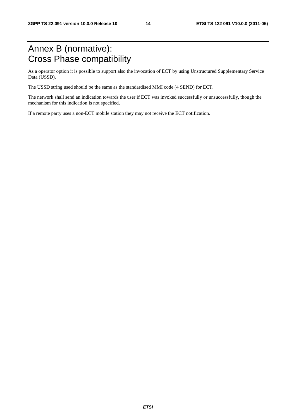# Annex B (normative): Cross Phase compatibility

As a operator option it is possible to support also the invocation of ECT by using Unstructured Supplementary Service Data (USSD).

The USSD string used should be the same as the standardised MMI code (4 SEND) for ECT.

The network shall send an indication towards the user if ECT was invoked successfully or unsuccessfully, though the mechanism for this indication is not specified.

If a remote party uses a non-ECT mobile station they may not receive the ECT notification.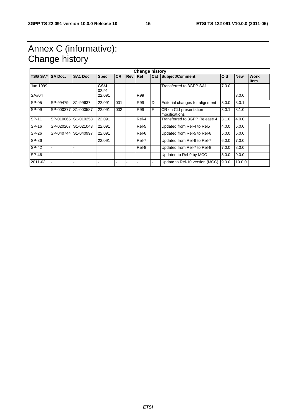# Annex C (informative): Change history

|                | <b>Change history</b> |                     |                     |           |                |       |   |                                         |       |            |                             |
|----------------|-----------------------|---------------------|---------------------|-----------|----------------|-------|---|-----------------------------------------|-------|------------|-----------------------------|
| <b>TSG SA#</b> | <b>SA Doc.</b>        | SA <sub>1</sub> Doc | <b>Spec</b>         | <b>CR</b> | <b>Rev Rel</b> |       |   | <b>Cat Subject/Comment</b>              | Old   | <b>New</b> | <b>Work</b><br><b>I</b> tem |
| Jun 1999       |                       |                     | <b>GSM</b><br>02.91 |           |                |       |   | Transferred to 3GPP SA1                 | 7.0.0 |            |                             |
| SA#04          |                       |                     | 22.091              |           |                | R99   |   |                                         |       | 3.0.0      |                             |
| SP-05          | SP-99479              | S1-99637            | 22.091              | 001       |                | R99   | D | Editorial changes for alignment         | 3.0.0 | 3.0.1      |                             |
| SP-09          | SP-000377             | S1-000587           | 22.091              | 002       |                | R99   | F | CR on CLI presentation<br>modifications | 3.0.1 | 3.1.0      |                             |
| SP-11          | SP-010065 S1-010258   |                     | 22.091              |           |                | Rel-4 |   | Transferred to 3GPP Release 4           | 3.1.0 | 4.0.0      |                             |
| SP-16          | SP-020267             | S1-021043           | 22.091              |           |                | Rel-5 |   | Updated from Rel-4 to Rel5              | 4.0.0 | 5.0.0      |                             |
| SP-26          | SP-040744 S1-040997   |                     | 22.091              |           |                | Rel-6 |   | Updated from Rel-5 to Rel-6             | 5.0.0 | 6.0.0      |                             |
| SP-36          |                       |                     | 22.091              |           |                | Rel-7 |   | Updated from Rel-6 to Rel-7             | 6.0.0 | 7.0.0      |                             |
| <b>SP-42</b>   |                       |                     |                     |           |                | Rel-8 |   | Updated from Rel-7 to Rel-8             | 7.0.0 | 8.0.0      |                             |
| $SP-46$        |                       |                     |                     |           |                |       |   | Updated to Rel-9 by MCC                 | 8.0.0 | 9.0.0      |                             |
| 2011-03        |                       |                     |                     |           |                |       |   | Update to Rel-10 version (MCC)          | 9.0.0 | 10.0.0     |                             |